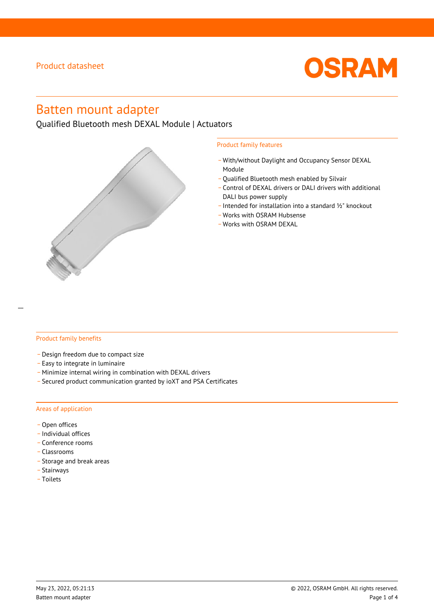

# Batten mount adapter

Qualified Bluetooth mesh DEXAL Module | Actuators



#### Product family features

- \_ With/without Daylight and Occupancy Sensor DEXAL Module
- Qualified Bluetooth mesh enabled by Silvair
- \_ Control of DEXAL drivers or DALI drivers with additional DALI bus power supply
- \_ Intended for installation into a standard ½" knockout
- \_ Works with OSRAM Hubsense
- Works with OSRAM DEXAL

#### Product family benefits

- \_ Design freedom due to compact size
- \_ Easy to integrate in luminaire
- \_ Minimize internal wiring in combination with DEXAL drivers
- \_ Secured product communication granted by ioXT and PSA Certificates

#### Areas of application

- Open offices
- \_ Individual offices
- Conference rooms
- \_ Classrooms
- \_ Storage and break areas
- \_ Stairways
- \_ Toilets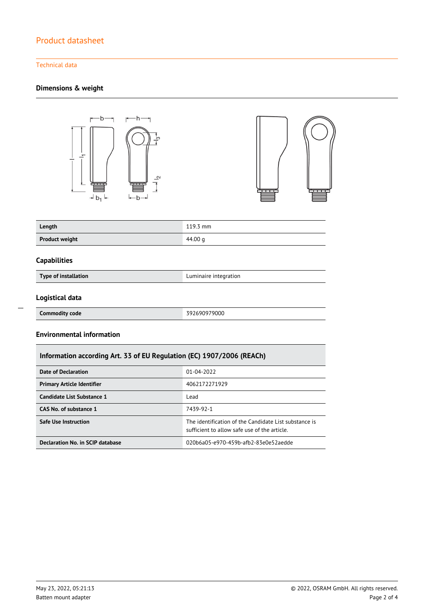#### Technical data

### **Dimensions & weight**





| Length                | $119.3 \text{ mm}$ |
|-----------------------|--------------------|
| <b>Product weight</b> | 44.00 g            |

#### **Capabilities**

**Type of installation Luminaire integration** 

#### **Logistical data**

**Commodity code** 392690979000

### **Environmental information**

### **Information according Art. 33 of EU Regulation (EC) 1907/2006 (REACh)**

| Date of Declaration               | 01-04-2022                                                                                            |  |
|-----------------------------------|-------------------------------------------------------------------------------------------------------|--|
| <b>Primary Article Identifier</b> | 4062172271929                                                                                         |  |
| Candidate List Substance 1        | Lead                                                                                                  |  |
| CAS No. of substance 1            | 7439-92-1                                                                                             |  |
| Safe Use Instruction              | The identification of the Candidate List substance is<br>sufficient to allow safe use of the article. |  |
| Declaration No. in SCIP database  | 020b6a05-e970-459b-afb2-83e0e52aedde                                                                  |  |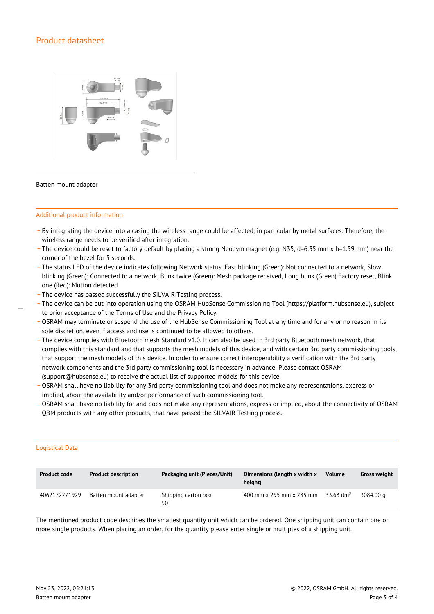

#### Batten mount adapter

#### Additional product information

- \_ By integrating the device into a casing the wireless range could be affected, in particular by metal surfaces. Therefore, the wireless range needs to be verified after integration.
- \_ The device could be reset to factory default by placing a strong Neodym magnet (e.g. N35, d=6.35 mm x h=1.59 mm) near the corner of the bezel for 5 seconds.
- \_ The status LED of the device indicates following Network status. Fast blinking (Green): Not connected to a network, Slow blinking (Green); Connected to a network, Blink twice (Green): Mesh package received, Long blink (Green) Factory reset, Blink one (Red): Motion detected
- \_ The device has passed successfully the SILVAIR Testing process.
- \_ The device can be put into operation using the OSRAM HubSense Commissioning Tool (https://platform.hubsense.eu), subject to prior acceptance of the Terms of Use and the Privacy Policy.
- OSRAM may terminate or suspend the use of the HubSense Commissioning Tool at any time and for any or no reason in its sole discretion, even if access and use is continued to be allowed to others.
- \_ The device complies with Bluetooth mesh Standard v1.0. It can also be used in 3rd party Bluetooth mesh network, that complies with this standard and that supports the mesh models of this device, and with certain 3rd party commissioning tools, that support the mesh models of this device. In order to ensure correct interoperability a verification with the 3rd party network components and the 3rd party commissioning tool is necessary in advance. Please contact OSRAM (support@hubsense.eu) to receive the actual list of supported models for this device.
- \_ OSRAM shall have no liability for any 3rd party commissioning tool and does not make any representations, express or implied, about the availability and/or performance of such commissioning tool.
- \_ OSRAM shall have no liability for and does not make any representations, express or implied, about the connectivity of OSRAM QBM products with any other products, that have passed the SILVAIR Testing process.

#### Logistical Data

| <b>Product code</b> | <b>Product description</b> | Packaging unit (Pieces/Unit) | Dimensions (length x width x<br>height) | <b>Volume</b>         | <b>Gross weight</b> |
|---------------------|----------------------------|------------------------------|-----------------------------------------|-----------------------|---------------------|
| 4062172271929       | Batten mount adapter       | Shipping carton box<br>50    | 400 mm x 295 mm x 285 mm                | 33.63 dm <sup>3</sup> | 3084.00 a           |

The mentioned product code describes the smallest quantity unit which can be ordered. One shipping unit can contain one or more single products. When placing an order, for the quantity please enter single or multiples of a shipping unit.